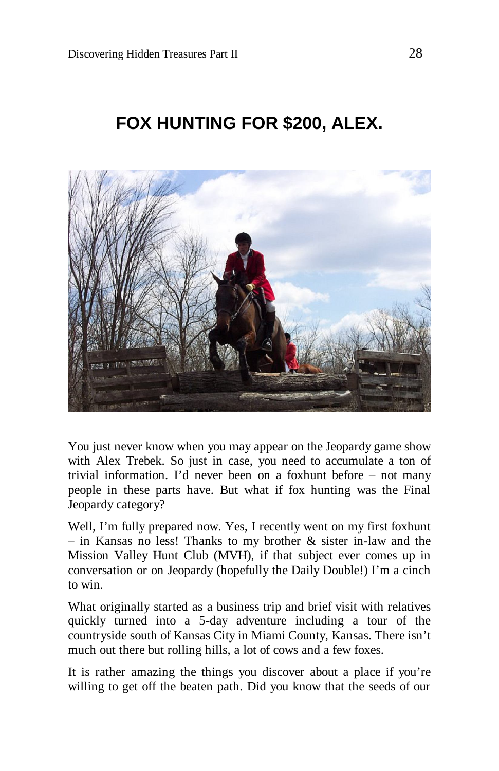## **FOX HUNTING FOR \$200, ALEX.**



You just never know when you may appear on the Jeopardy game show with Alex Trebek. So just in case, you need to accumulate a ton of trivial information. I'd never been on a foxhunt before – not many people in these parts have. But what if fox hunting was the Final Jeopardy category?

Well, I'm fully prepared now. Yes, I recently went on my first foxhunt – in Kansas no less! Thanks to my brother & sister in-law and the Mission Valley Hunt Club (MVH), if that subject ever comes up in conversation or on Jeopardy (hopefully the Daily Double!) I'm a cinch to win.

What originally started as a business trip and brief visit with relatives quickly turned into a 5-day adventure including a tour of the countryside south of Kansas City in Miami County, Kansas. There isn't much out there but rolling hills, a lot of cows and a few foxes.

It is rather amazing the things you discover about a place if you're willing to get off the beaten path. Did you know that the seeds of our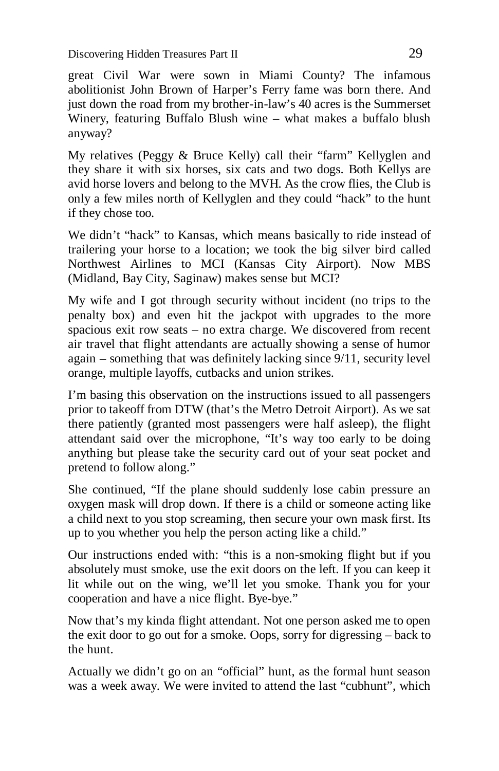Discovering Hidden Treasures Part II 29

great Civil War were sown in Miami County? The infamous abolitionist John Brown of Harper's Ferry fame was born there. And just down the road from my brother-in-law's 40 acres is the Summerset Winery, featuring Buffalo Blush wine – what makes a buffalo blush anyway?

My relatives (Peggy & Bruce Kelly) call their "farm" Kellyglen and they share it with six horses, six cats and two dogs. Both Kellys are avid horse lovers and belong to the MVH. As the crow flies, the Club is only a few miles north of Kellyglen and they could "hack" to the hunt if they chose too.

We didn't "hack" to Kansas, which means basically to ride instead of trailering your horse to a location; we took the big silver bird called Northwest Airlines to MCI (Kansas City Airport). Now MBS (Midland, Bay City, Saginaw) makes sense but MCI?

My wife and I got through security without incident (no trips to the penalty box) and even hit the jackpot with upgrades to the more spacious exit row seats – no extra charge. We discovered from recent air travel that flight attendants are actually showing a sense of humor again – something that was definitely lacking since 9/11, security level orange, multiple layoffs, cutbacks and union strikes.

I'm basing this observation on the instructions issued to all passengers prior to takeoff from DTW (that's the Metro Detroit Airport). As we sat there patiently (granted most passengers were half asleep), the flight attendant said over the microphone, "It's way too early to be doing anything but please take the security card out of your seat pocket and pretend to follow along."

She continued, "If the plane should suddenly lose cabin pressure an oxygen mask will drop down. If there is a child or someone acting like a child next to you stop screaming, then secure your own mask first. Its up to you whether you help the person acting like a child."

Our instructions ended with: "this is a non-smoking flight but if you absolutely must smoke, use the exit doors on the left. If you can keep it lit while out on the wing, we'll let you smoke. Thank you for your cooperation and have a nice flight. Bye-bye."

Now that's my kinda flight attendant. Not one person asked me to open the exit door to go out for a smoke. Oops, sorry for digressing – back to the hunt.

Actually we didn't go on an "official" hunt, as the formal hunt season was a week away. We were invited to attend the last "cubhunt", which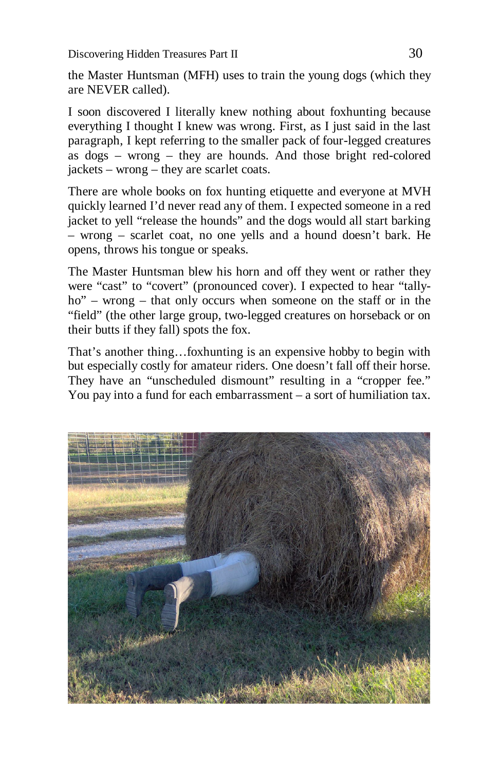Discovering Hidden Treasures Part II 30

the Master Huntsman (MFH) uses to train the young dogs (which they are NEVER called).

I soon discovered I literally knew nothing about foxhunting because everything I thought I knew was wrong. First, as I just said in the last paragraph, I kept referring to the smaller pack of four-legged creatures as dogs – wrong – they are hounds. And those bright red-colored jackets – wrong – they are scarlet coats.

There are whole books on fox hunting etiquette and everyone at MVH quickly learned I'd never read any of them. I expected someone in a red jacket to yell "release the hounds" and the dogs would all start barking – wrong – scarlet coat, no one yells and a hound doesn't bark. He opens, throws his tongue or speaks.

The Master Huntsman blew his horn and off they went or rather they were "cast" to "covert" (pronounced cover). I expected to hear "tallyho" – wrong – that only occurs when someone on the staff or in the "field" (the other large group, two-legged creatures on horseback or on their butts if they fall) spots the fox.

That's another thing…foxhunting is an expensive hobby to begin with but especially costly for amateur riders. One doesn't fall off their horse. They have an "unscheduled dismount" resulting in a "cropper fee." You pay into a fund for each embarrassment – a sort of humiliation tax.